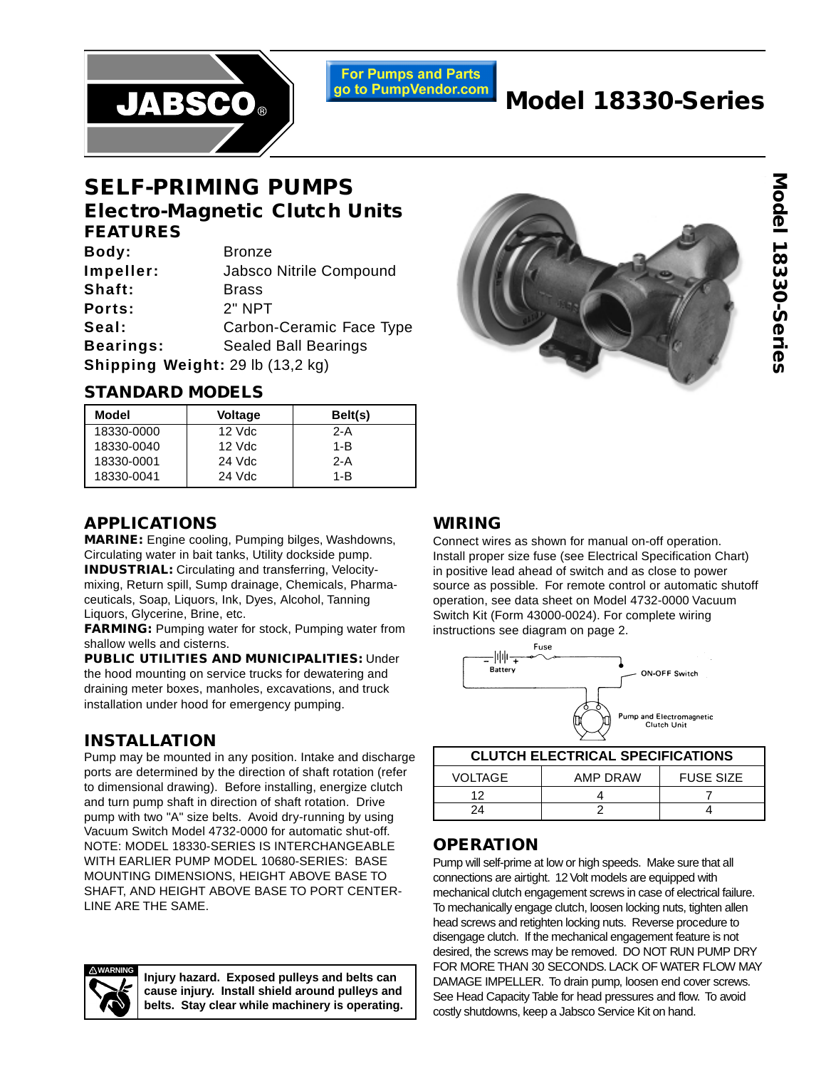

**For Pumps and Parts** go to PumpVendor.com

# **Model 18330-Series**

## **SELF-PRIMING PUMPS Electro-Magnetic Clutch Units FEATURES**

| Body:                            | <b>Bronze</b>               |
|----------------------------------|-----------------------------|
| Impeller:                        | Jabsco Nitrile Compound     |
| Shaft:                           | <b>Brass</b>                |
| Ports:                           | $2"$ NPT                    |
| Seal:                            | Carbon-Ceramic Face Type    |
| Bearings:                        | <b>Sealed Ball Bearings</b> |
| Shipping Weight: 29 lb (13,2 kg) |                             |

### **STANDARD MODELS**

| Model      | <b>Voltage</b> | Belt(s) |
|------------|----------------|---------|
| 18330-0000 | $12$ Vdc       | $2-A$   |
| 18330-0040 | $12$ Vdc       | $1 - B$ |
| 18330-0001 | 24 Vdc         | $2-A$   |
| 18330-0041 | 24 Vdc         | $1 - B$ |

### **APPLICATIONS**

**MARINE:** Engine cooling, Pumping bilges, Washdowns, Circulating water in bait tanks, Utility dockside pump. **INDUSTRIAL:** Circulating and transferring, Velocitymixing, Return spill, Sump drainage, Chemicals, Pharmaceuticals, Soap, Liquors, Ink, Dyes, Alcohol, Tanning Liquors, Glycerine, Brine, etc.

**FARMING:** Pumping water for stock, Pumping water from shallow wells and cisterns.

**PUBLIC UTILITIES AND MUNICIPALITIES:** Under the hood mounting on service trucks for dewatering and draining meter boxes, manholes, excavations, and truck installation under hood for emergency pumping.

#### **INSTALLATION**

Pump may be mounted in any position. Intake and discharge ports are determined by the direction of shaft rotation (refer to dimensional drawing). Before installing, energize clutch and turn pump shaft in direction of shaft rotation. Drive pump with two "A" size belts. Avoid dry-running by using Vacuum Switch Model 4732-0000 for automatic shut-off. NOTE: MODEL 18330-SERIES IS INTERCHANGEABLE WITH EARLIER PUMP MODEL 10680-SERIES: BASE MOUNTING DIMENSIONS, HEIGHT ABOVE BASE TO SHAFT, AND HEIGHT ABOVE BASE TO PORT CENTER-LINE ARE THE SAME.

> **Injury hazard. Exposed pulleys and belts can cause injury. Install shield around pulleys and belts. Stay clear while machinery is operating.**



#### **WIRING**

Connect wires as shown for manual on-off operation. Install proper size fuse (see Electrical Specification Chart) in positive lead ahead of switch and as close to power source as possible. For remote control or automatic shutoff operation, see data sheet on Model 4732-0000 Vacuum Switch Kit (Form 43000-0024). For complete wiring instructions see diagram on page 2.



| <b>CLUTCH ELECTRICAL SPECIFICATIONS</b> |          |                  |  |  |  |  |  |  |
|-----------------------------------------|----------|------------------|--|--|--|--|--|--|
| VOLTAGE                                 | AMP DRAW | <b>FUSE SIZE</b> |  |  |  |  |  |  |
| ィっ                                      |          |                  |  |  |  |  |  |  |
| 24                                      |          |                  |  |  |  |  |  |  |

#### **OPERATION**

Pump will self-prime at low or high speeds. Make sure that all connections are airtight. 12 Volt models are equipped with mechanical clutch engagement screws in case of electrical failure. To mechanically engage clutch, loosen locking nuts, tighten allen head screws and retighten locking nuts. Reverse procedure to disengage clutch. If the mechanical engagement feature is not desired, the screws may be removed. DO NOT RUN PUMP DRY FOR MORE THAN 30 SECONDS. LACK OF WATER FLOW MAY DAMAGE IMPELLER. To drain pump, loosen end cover screws. See Head Capacity Table for head pressures and flow. To avoid costly shutdowns, keep a Jabsco Service Kit on hand.

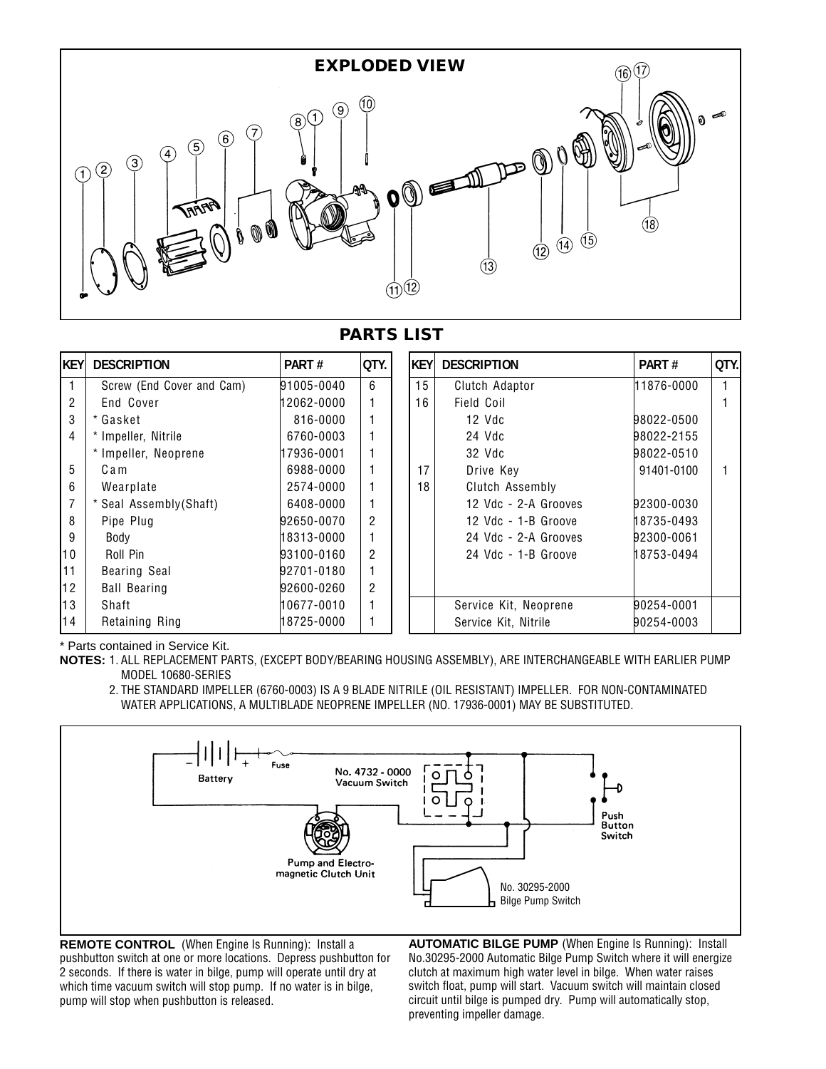

#### **PARTS LIST**

| <b>KEY</b> | <b>DESCRIPTION</b>        | PART#      | QTY.           | <b>KEY</b> | <b>DESCRIPTION</b>    | PART#      | QTY. |
|------------|---------------------------|------------|----------------|------------|-----------------------|------------|------|
|            | Screw (End Cover and Cam) | 91005-0040 | 6              | 15         | Clutch Adaptor        | 11876-0000 |      |
| 2          | End Cover                 | 12062-0000 | 1              | 16         | Field Coil            |            |      |
| 3          | * Gasket                  | 816-0000   | 1              |            | $12$ Vdc              | 98022-0500 |      |
| 4          | * Impeller, Nitrile       | 6760-0003  | 1              |            | 24 Vdc                | 98022-2155 |      |
|            | * Impeller, Neoprene      | 17936-0001 | 1              |            | 32 Vdc                | 98022-0510 |      |
| 5          | Cam                       | 6988-0000  | 1              | 17         | Drive Key             | 91401-0100 |      |
| 6          | Wearplate                 | 2574-0000  | 1              | 18         | Clutch Assembly       |            |      |
|            | Seal Assembly(Shaft)      | 6408-0000  | 1              |            | 12 Vdc - 2-A Grooves  | 92300-0030 |      |
| 8          | Pipe Plug                 | 92650-0070 | $\overline{2}$ |            | 12 Vdc - 1-B Groove   | 18735-0493 |      |
| 9          | Body                      | 18313-0000 | 1              |            | 24 Vdc - 2-A Grooves  | 92300-0061 |      |
| 10         | Roll Pin                  | 93100-0160 | $\overline{2}$ |            | 24 Vdc - 1-B Groove   | 18753-0494 |      |
| 11         | Bearing Seal              | 92701-0180 | 1              |            |                       |            |      |
| 12         | <b>Ball Bearing</b>       | 92600-0260 | $\overline{2}$ |            |                       |            |      |
| 13         | Shaft                     | 10677-0010 | 1              |            | Service Kit, Neoprene | 90254-0001 |      |
| 14         | Retaining Ring            | 18725-0000 | 1              |            | Service Kit, Nitrile  | 90254-0003 |      |

\* Parts contained in Service Kit.

**NOTES:** 1. ALL REPLACEMENT PARTS, (EXCEPT BODY/BEARING HOUSING ASSEMBLY), ARE INTERCHANGEABLE WITH EARLIER PUMP MODEL 10680-SERIES

2. THE STANDARD IMPELLER (6760-0003) IS A 9 BLADE NITRILE (OIL RESISTANT) IMPELLER. FOR NON-CONTAMINATED WATER APPLICATIONS, A MULTIBLADE NEOPRENE IMPELLER (NO. 17936-0001) MAY BE SUBSTITUTED.



**REMOTE CONTROL** (When Engine Is Running): Install a pushbutton switch at one or more locations. Depress pushbutton for 2 seconds. If there is water in bilge, pump will operate until dry at which time vacuum switch will stop pump. If no water is in bilge, pump will stop when pushbutton is released.

**AUTOMATIC BILGE PUMP** (When Engine Is Running): Install No.30295-2000 Automatic Bilge Pump Switch where it will energize clutch at maximum high water level in bilge. When water raises switch float, pump will start. Vacuum switch will maintain closed circuit until bilge is pumped dry. Pump will automatically stop, preventing impeller damage.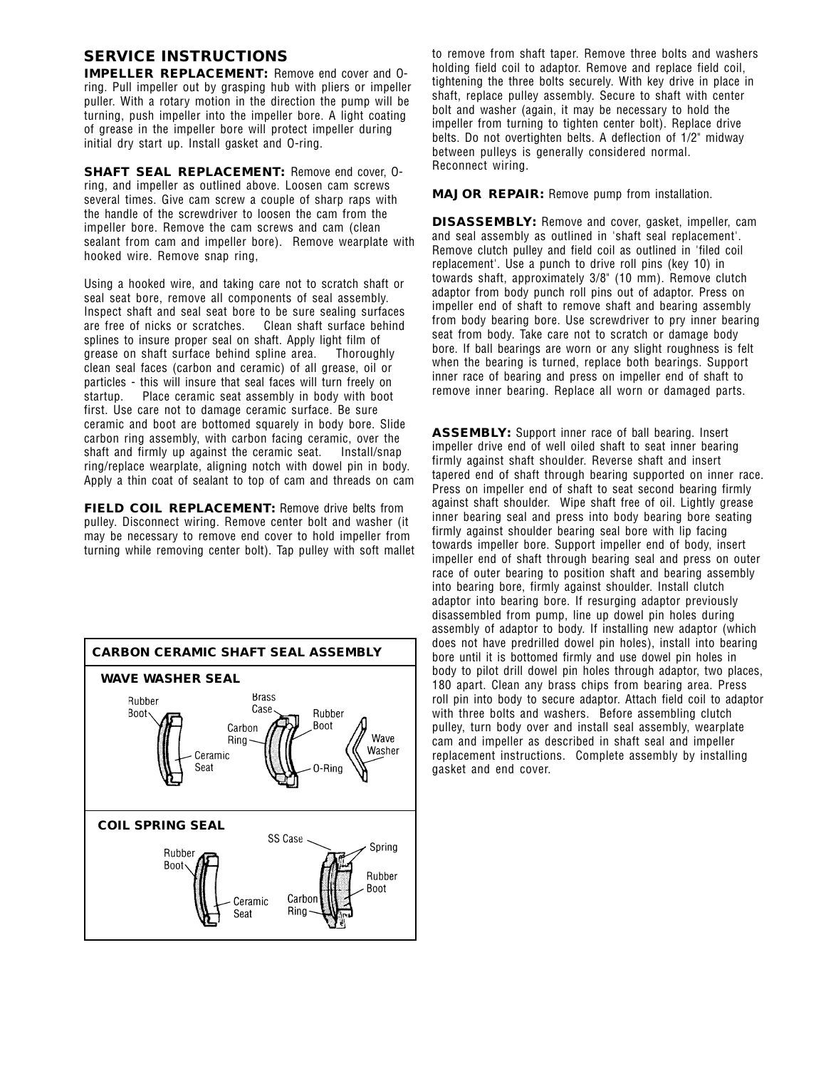#### **SERVICE INSTRUCTIONS**

**IMPELLER REPLACEMENT:** Remove end cover and Oring. Pull impeller out by grasping hub with pliers or impeller puller. With a rotary motion in the direction the pump will be turning, push impeller into the impeller bore. A light coating of grease in the impeller bore will protect impeller during initial dry start up. Install gasket and O-ring.

**SHAFT SEAL REPLACEMENT:** Remove end cover, Oring, and impeller as outlined above. Loosen cam screws several times. Give cam screw a couple of sharp raps with the handle of the screwdriver to loosen the cam from the impeller bore. Remove the cam screws and cam (clean sealant from cam and impeller bore). Remove wearplate with hooked wire. Remove snap ring,

Using a hooked wire, and taking care not to scratch shaft or seal seat bore, remove all components of seal assembly. Inspect shaft and seal seat bore to be sure sealing surfaces are free of nicks or scratches. Clean shaft surface behind splines to insure proper seal on shaft. Apply light film of grease on shaft surface behind spline area. Thoroughly clean seal faces (carbon and ceramic) of all grease, oil or particles - this will insure that seal faces will turn freely on startup. Place ceramic seat assembly in body with boot first. Use care not to damage ceramic surface. Be sure ceramic and boot are bottomed squarely in body bore. Slide carbon ring assembly, with carbon facing ceramic, over the shaft and firmly up against the ceramic seat. Install/snap ring/replace wearplate, aligning notch with dowel pin in body. Apply a thin coat of sealant to top of cam and threads on cam

**FIELD COIL REPLACEMENT:** Remove drive belts from pulley. Disconnect wiring. Remove center bolt and washer (it may be necessary to remove end cover to hold impeller from turning while removing center bolt). Tap pulley with soft mallet



to remove from shaft taper. Remove three bolts and washers holding field coil to adaptor. Remove and replace field coil, tightening the three bolts securely. With key drive in place in shaft, replace pulley assembly. Secure to shaft with center bolt and washer (again, it may be necessary to hold the impeller from turning to tighten center bolt). Replace drive belts. Do not overtighten belts. A deflection of 1/2" midway between pulleys is generally considered normal. Reconnect wiring.

**MAJOR REPAIR:** Remove pump from installation.

**DISASSEMBLY:** Remove and cover, gasket, impeller, cam and seal assembly as outlined in 'shaft seal replacement'. Remove clutch pulley and field coil as outlined in 'filed coil replacement'. Use a punch to drive roll pins (key 10) in towards shaft, approximately 3/8" (10 mm). Remove clutch adaptor from body punch roll pins out of adaptor. Press on impeller end of shaft to remove shaft and bearing assembly from body bearing bore. Use screwdriver to pry inner bearing seat from body. Take care not to scratch or damage body bore. If ball bearings are worn or any slight roughness is felt when the bearing is turned, replace both bearings. Support inner race of bearing and press on impeller end of shaft to remove inner bearing. Replace all worn or damaged parts.

**ASSEMBLY:** Support inner race of ball bearing. Insert impeller drive end of well oiled shaft to seat inner bearing firmly against shaft shoulder. Reverse shaft and insert tapered end of shaft through bearing supported on inner race. Press on impeller end of shaft to seat second bearing firmly against shaft shoulder. Wipe shaft free of oil. Lightly grease inner bearing seal and press into body bearing bore seating firmly against shoulder bearing seal bore with lip facing towards impeller bore. Support impeller end of body, insert impeller end of shaft through bearing seal and press on outer race of outer bearing to position shaft and bearing assembly into bearing bore, firmly against shoulder. Install clutch adaptor into bearing bore. If resurging adaptor previously disassembled from pump, line up dowel pin holes during assembly of adaptor to body. If installing new adaptor (which does not have predrilled dowel pin holes), install into bearing bore until it is bottomed firmly and use dowel pin holes in body to pilot drill dowel pin holes through adaptor, two places, 180 apart. Clean any brass chips from bearing area. Press roll pin into body to secure adaptor. Attach field coil to adaptor with three bolts and washers. Before assembling clutch pulley, turn body over and install seal assembly, wearplate cam and impeller as described in shaft seal and impeller replacement instructions. Complete assembly by installing gasket and end cover.